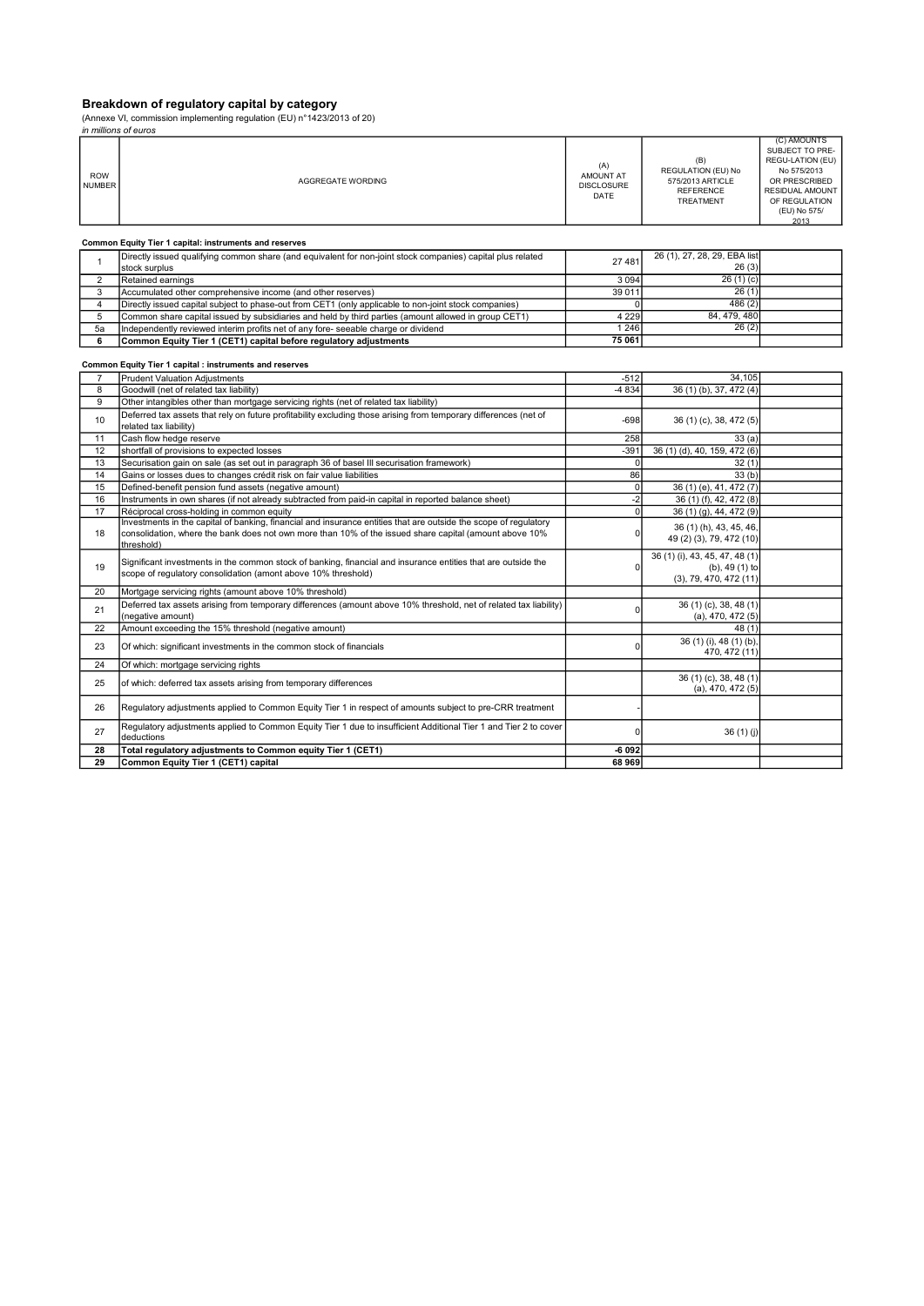#### Breakdown of regulatory capital by category

(Annexe VI, commission implementing regulation (EU) n°1423/2013 of 20)

|                             | in millions of euros                                                                                                                                                                                                                     |                                               |                                                                                |                                                                                                                                                       |
|-----------------------------|------------------------------------------------------------------------------------------------------------------------------------------------------------------------------------------------------------------------------------------|-----------------------------------------------|--------------------------------------------------------------------------------|-------------------------------------------------------------------------------------------------------------------------------------------------------|
| <b>ROW</b><br><b>NUMBER</b> | AGGREGATE WORDING                                                                                                                                                                                                                        | (A)<br>AMOUNT AT<br><b>DISCLOSURE</b><br>DATE | (B)<br>REGULATION (EU) No<br>575/2013 ARTICLE<br><b>REFERENCE</b><br>TREATMENT | (C) AMOUNTS<br>SUBJECT TO PRE-<br>REGU-LATION (EU)<br>No 575/2013<br>OR PRESCRIBED<br><b>RESIDUAL AMOUNT</b><br>OF REGULATION<br>(EU) No 575/<br>2013 |
|                             | Common Equity Tier 1 capital: instruments and reserves                                                                                                                                                                                   |                                               |                                                                                |                                                                                                                                                       |
| $\mathbf{1}$                | Directly issued qualifying common share (and equivalent for non-joint stock companies) capital plus related                                                                                                                              | 27 481                                        | 26 (1), 27, 28, 29, EBA list                                                   |                                                                                                                                                       |
|                             | stock surplus                                                                                                                                                                                                                            |                                               | 26(3)                                                                          |                                                                                                                                                       |
| $\overline{2}$              | Retained earnings                                                                                                                                                                                                                        | 3 0 9 4                                       | 26(1)(c)                                                                       |                                                                                                                                                       |
| 3                           | Accumulated other comprehensive income (and other reserves)                                                                                                                                                                              | 39 0 11                                       | 26(1)                                                                          |                                                                                                                                                       |
| $\overline{4}$              | Directly issued capital subject to phase-out from CET1 (only applicable to non-joint stock companies)                                                                                                                                    |                                               | 486(2)                                                                         |                                                                                                                                                       |
| 5                           | Common share capital issued by subsidiaries and held by third parties (amount allowed in group CET1)                                                                                                                                     | 4 2 2 9                                       | 84, 479, 480                                                                   |                                                                                                                                                       |
| 5a                          | Independently reviewed interim profits net of any fore- seeable charge or dividend                                                                                                                                                       | 1 2 4 6                                       | 26(2)                                                                          |                                                                                                                                                       |
| 6                           | Common Equity Tier 1 (CET1) capital before regulatory adjustments                                                                                                                                                                        | 75 061                                        |                                                                                |                                                                                                                                                       |
|                             | Common Equity Tier 1 capital : instruments and reserves                                                                                                                                                                                  |                                               |                                                                                |                                                                                                                                                       |
| 7                           | <b>Prudent Valuation Adjustments</b>                                                                                                                                                                                                     | $-512$                                        | 34,105                                                                         |                                                                                                                                                       |
| 8                           | Goodwill (net of related tax liability)                                                                                                                                                                                                  | $-4834$                                       | 36 (1) (b), 37, 472 (4)                                                        |                                                                                                                                                       |
| 9                           | Other intangibles other than mortgage servicing rights (net of related tax liability)                                                                                                                                                    |                                               |                                                                                |                                                                                                                                                       |
| 10                          | Deferred tax assets that rely on future profitability excluding those arising from temporary differences (net of<br>related tax liability)                                                                                               | $-698$                                        | 36 (1) (c), 38, 472 (5)                                                        |                                                                                                                                                       |
| 11                          | Cash flow hedge reserve                                                                                                                                                                                                                  | 258                                           | 33(a)                                                                          |                                                                                                                                                       |
| 12                          | shortfall of provisions to expected losses                                                                                                                                                                                               | $-391$                                        | 36 (1) (d), 40, 159, 472 (6)                                                   |                                                                                                                                                       |
| 13                          | Securisation gain on sale (as set out in paragraph 36 of basel III securisation framework)                                                                                                                                               | 0                                             | 32(1)                                                                          |                                                                                                                                                       |
| 14                          | Gains or losses dues to changes crédit risk on fair value liabilities                                                                                                                                                                    | 86                                            | 33(b)                                                                          |                                                                                                                                                       |
| 15                          | Defined-benefit pension fund assets (negative amount)                                                                                                                                                                                    | $\overline{0}$                                | 36 (1) (e), 41, 472 (7)                                                        |                                                                                                                                                       |
| 16                          | Instruments in own shares (if not already subtracted from paid-in capital in reported balance sheet)                                                                                                                                     | $-2$                                          | 36 (1) (f), 42, 472 (8)                                                        |                                                                                                                                                       |
| 17                          | Réciprocal cross-holding in common equity                                                                                                                                                                                                | $\overline{0}$                                | 36 (1) (g), 44, 472 (9)                                                        |                                                                                                                                                       |
| 18                          | Investments in the capital of banking, financial and insurance entities that are outside the scope of regulatory<br>consolidation, where the bank does not own more than 10% of the issued share capital (amount above 10%<br>threshold) | 0                                             | 36 (1) (h), 43, 45, 46,<br>49 (2) (3), 79, 472 (10)                            |                                                                                                                                                       |
| 19                          | Significant investments in the common stock of banking, financial and insurance entities that are outside the<br>scope of regulatory consolidation (amont above 10% threshold)                                                           | 0                                             | 36 (1) (i), 43, 45, 47, 48 (1)<br>$(b)$ , 49 $(1)$ to<br>(3), 79, 470, 472(11) |                                                                                                                                                       |
| 20                          | Mortgage servicing rights (amount above 10% threshold)                                                                                                                                                                                   |                                               |                                                                                |                                                                                                                                                       |
| 21                          | Deferred tax assets arising from temporary differences (amount above 10% threshold, net of related tax liability)<br>(negative amount)                                                                                                   | $\Omega$                                      | 36 (1) (c), 38, 48 (1)<br>$(a)$ , 470, 472 $(5)$                               |                                                                                                                                                       |
| 22                          | Amount exceeding the 15% threshold (negative amount)                                                                                                                                                                                     |                                               | 48(1)                                                                          |                                                                                                                                                       |
| 23                          | Of which: significant investments in the common stock of financials                                                                                                                                                                      | $\Omega$                                      | 36 (1) (i), 48 (1) (b),<br>470, 472 (11)                                       |                                                                                                                                                       |
| 24                          | Of which: mortgage servicing rights                                                                                                                                                                                                      |                                               |                                                                                |                                                                                                                                                       |
|                             |                                                                                                                                                                                                                                          |                                               | 36 (1) (c), 38, 48 (1)                                                         |                                                                                                                                                       |
| 25                          | of which: deferred tax assets arising from temporary differences                                                                                                                                                                         |                                               | (a), 470, 472(5)                                                               |                                                                                                                                                       |
| 26                          | Regulatory adjustments applied to Common Equity Tier 1 in respect of amounts subject to pre-CRR treatment                                                                                                                                |                                               |                                                                                |                                                                                                                                                       |
| 27                          | Regulatory adjustments applied to Common Equity Tier 1 due to insufficient Additional Tier 1 and Tier 2 to cover<br>deductions                                                                                                           | $\Omega$                                      | 36(1)(j)                                                                       |                                                                                                                                                       |
| 28                          | Total regulatory adjustments to Common equity Tier 1 (CET1)                                                                                                                                                                              | $-6092$                                       |                                                                                |                                                                                                                                                       |
| 29                          | Common Equity Tier 1 (CET1) capital                                                                                                                                                                                                      | 68 969                                        |                                                                                |                                                                                                                                                       |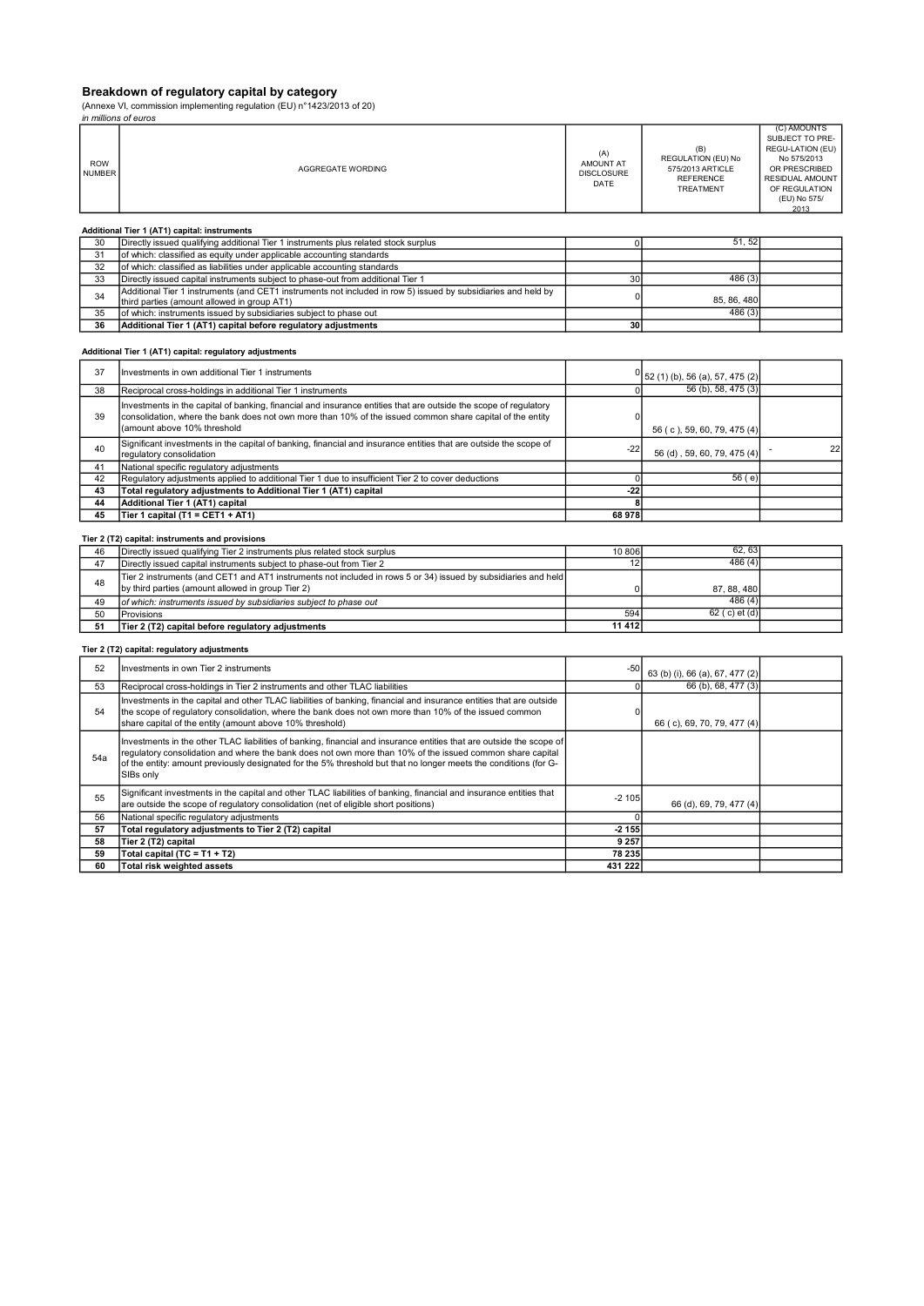# Breakdown of regulatory capital by category

(Annexe VI, commission implementing regulation (EU) n°1423/2013 of 20)

|                             | (Annexe VI, commission implementing regulation (EU) $n^21423/2013$ of 20)<br>in millions of euros                                                                 |                                               |                                                                                |                                                                                                                                 |
|-----------------------------|-------------------------------------------------------------------------------------------------------------------------------------------------------------------|-----------------------------------------------|--------------------------------------------------------------------------------|---------------------------------------------------------------------------------------------------------------------------------|
|                             |                                                                                                                                                                   |                                               |                                                                                | (C) AMOUNTS                                                                                                                     |
| <b>ROW</b><br><b>NUMBER</b> | AGGREGATE WORDING                                                                                                                                                 | (A)<br>AMOUNT AT<br><b>DISCLOSURE</b><br>DATE | (B)<br>REGULATION (EU) No<br>575/2013 ARTICLE<br><b>REFERENCE</b><br>TREATMENT | SUBJECT TO PRE-<br>REGU-LATION (EU)<br>No 575/2013<br>OR PRESCRIBED<br>RESIDUAL AMOUNT<br>OF REGULATION<br>(EU) No 575/<br>2013 |
|                             | Additional Tier 1 (AT1) capital: instruments                                                                                                                      |                                               |                                                                                |                                                                                                                                 |
| 30                          | Directly issued qualifying additional Tier 1 instruments plus related stock surplus                                                                               | $\mathbf 0$                                   | 51, 52                                                                         |                                                                                                                                 |
| 31                          | of which: classified as equity under applicable accounting standards                                                                                              |                                               |                                                                                |                                                                                                                                 |
| 32                          | of which: classified as liabilities under applicable accounting standards                                                                                         |                                               |                                                                                |                                                                                                                                 |
| 33                          | Directly issued capital instruments subject to phase-out from additional Tier 1                                                                                   | 30                                            | 486(3)                                                                         |                                                                                                                                 |
|                             | Additional Tier 1 instruments (and CET1 instruments not included in row 5) issued by subsidiaries and held by                                                     |                                               |                                                                                |                                                                                                                                 |
| 34                          | third parties (amount allowed in group AT1)                                                                                                                       | $\mathbf 0$                                   | 85, 86, 480                                                                    |                                                                                                                                 |
| 35                          | of which: instruments issued by subsidiaries subject to phase out                                                                                                 |                                               | 486(3)                                                                         |                                                                                                                                 |
| 36                          | Additional Tier 1 (AT1) capital before regulatory adjustments                                                                                                     | 30                                            |                                                                                |                                                                                                                                 |
|                             |                                                                                                                                                                   |                                               |                                                                                |                                                                                                                                 |
|                             | Additional Tier 1 (AT1) capital: regulatory adjustments                                                                                                           |                                               |                                                                                |                                                                                                                                 |
| 37                          | Investments in own additional Tier 1 instruments                                                                                                                  | 0                                             | 52 (1) (b), 56 (a), 57, 475 (2)                                                |                                                                                                                                 |
| 38                          | Reciprocal cross-holdings in additional Tier 1 instruments                                                                                                        | $\mathbf 0$                                   | 56 (b), 58, 475 (3)                                                            |                                                                                                                                 |
|                             | Investments in the capital of banking, financial and insurance entities that are outside the scope of regulatory                                                  |                                               |                                                                                |                                                                                                                                 |
| 39                          | consolidation, where the bank does not own more than 10% of the issued common share capital of the entity                                                         | 0                                             |                                                                                |                                                                                                                                 |
|                             | (amount above 10% threshold                                                                                                                                       |                                               |                                                                                |                                                                                                                                 |
|                             |                                                                                                                                                                   |                                               | 56 (c), 59, 60, 79, 475 (4)                                                    |                                                                                                                                 |
| 40                          | Significant investments in the capital of banking, financial and insurance entities that are outside the scope of                                                 | $-22$                                         |                                                                                | 22                                                                                                                              |
|                             | regulatory consolidation                                                                                                                                          |                                               | 56 (d), 59, 60, 79, 475 (4)                                                    |                                                                                                                                 |
| 41                          | National specific regulatory adjustments                                                                                                                          |                                               |                                                                                |                                                                                                                                 |
| 42                          | Regulatory adjustments applied to additional Tier 1 due to insufficient Tier 2 to cover deductions                                                                | $\mathbf 0$                                   | 56(e)                                                                          |                                                                                                                                 |
| 43                          | Total regulatory adjustments to Additional Tier 1 (AT1) capital                                                                                                   | $-22$                                         |                                                                                |                                                                                                                                 |
| 44                          | Additional Tier 1 (AT1) capital                                                                                                                                   | 8                                             |                                                                                |                                                                                                                                 |
| 45                          | Tier 1 capital (T1 = CET1 + AT1)                                                                                                                                  | 68 978                                        |                                                                                |                                                                                                                                 |
|                             |                                                                                                                                                                   |                                               |                                                                                |                                                                                                                                 |
|                             | Tier 2 (T2) capital: instruments and provisions                                                                                                                   |                                               |                                                                                |                                                                                                                                 |
| 46                          | Directly issued qualifying Tier 2 instruments plus related stock surplus                                                                                          | 10 806                                        | 62.63                                                                          |                                                                                                                                 |
| 47                          | Directly issued capital instruments subject to phase-out from Tier 2                                                                                              | 12                                            | 486(4)                                                                         |                                                                                                                                 |
|                             | Tier 2 instruments (and CET1 and AT1 instruments not included in rows 5 or 34) issued by subsidiaries and held                                                    |                                               |                                                                                |                                                                                                                                 |
| 48                          | by third parties (amount allowed in group Tier 2)                                                                                                                 | $\mathbf 0$                                   | 87, 88, 480                                                                    |                                                                                                                                 |
| 49                          | of which: instruments issued by subsidiaries subject to phase out                                                                                                 |                                               | 486(4)                                                                         |                                                                                                                                 |
| 50                          |                                                                                                                                                                   | 594                                           | 62 (c) et (d)                                                                  |                                                                                                                                 |
|                             | Provisions                                                                                                                                                        | 11 4 12                                       |                                                                                |                                                                                                                                 |
| 51                          | Tier 2 (T2) capital before regulatory adjustments                                                                                                                 |                                               |                                                                                |                                                                                                                                 |
|                             | Tier 2 (T2) capital: regulatory adjustments                                                                                                                       |                                               |                                                                                |                                                                                                                                 |
| 52                          | Investments in own Tier 2 instruments                                                                                                                             | -50                                           |                                                                                |                                                                                                                                 |
|                             |                                                                                                                                                                   |                                               | 63 (b) (i), 66 (a), 67, 477 (2)                                                |                                                                                                                                 |
| 53                          | Reciprocal cross-holdings in Tier 2 instruments and other TLAC liabilities                                                                                        | $\mathbf 0$                                   | 66 (b), 68, 477 (3)                                                            |                                                                                                                                 |
|                             | Investments in the capital and other TLAC liabilities of banking, financial and insurance entities that are outside                                               |                                               |                                                                                |                                                                                                                                 |
| 54                          | the scope of regulatory consolidation, where the bank does not own more than 10% of the issued common<br>share capital of the entity (amount above 10% threshold) | 0                                             | 66 (c), 69, 70, 79, 477 (4)                                                    |                                                                                                                                 |
|                             |                                                                                                                                                                   |                                               |                                                                                |                                                                                                                                 |
|                             | Investments in the other TLAC liabilities of banking, financial and insurance entities that are outside the scope of                                              |                                               |                                                                                |                                                                                                                                 |
| 54a                         | regulatory consolidation and where the bank does not own more than 10% of the issued common share capital                                                         |                                               |                                                                                |                                                                                                                                 |
|                             | of the entity: amount previously designated for the 5% threshold but that no longer meets the conditions (for G-                                                  |                                               |                                                                                |                                                                                                                                 |
|                             | SIBs only                                                                                                                                                         |                                               |                                                                                |                                                                                                                                 |
|                             | Significant investments in the capital and other TLAC liabilities of banking, financial and insurance entities that                                               |                                               |                                                                                |                                                                                                                                 |
| 55                          | are outside the scope of requlatory consolidation (net of eligible short positions)                                                                               | $-2105$                                       | 66 (d), 69, 79, 477 (4)                                                        |                                                                                                                                 |
| 56                          | National specific regulatory adjustments                                                                                                                          | $\Omega$                                      |                                                                                |                                                                                                                                 |
| 57                          | Total regulatory adjustments to Tier 2 (T2) capital                                                                                                               | $-2155$                                       |                                                                                |                                                                                                                                 |
| 58                          | Tier 2 (T2) capital                                                                                                                                               | 9 2 5 7                                       |                                                                                |                                                                                                                                 |
|                             |                                                                                                                                                                   |                                               |                                                                                |                                                                                                                                 |

59 Total capital (TC = T1 + T2) 78 235 60 Total risk weighted assets 431 222